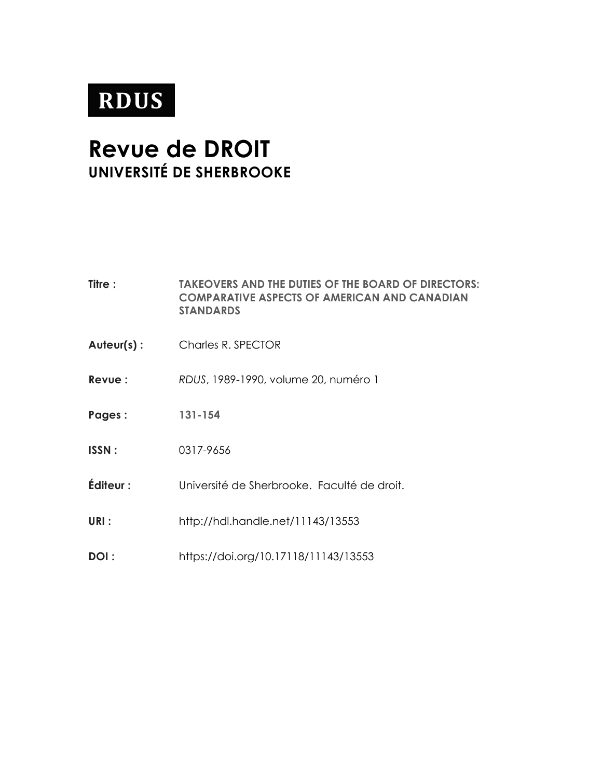# **RDUS**

## **Revue de DROIT UNIVERSITÉ DE SHERBROOKE**

| <b>Titre :</b> | <b>TAKEOVERS AND THE DUTIES OF THE BOARD OF DIRECTORS:</b><br><b>COMPARATIVE ASPECTS OF AMERICAN AND CANADIAN</b><br><b>STANDARDS</b> |
|----------------|---------------------------------------------------------------------------------------------------------------------------------------|
| Auteur(s):     | Charles R. SPECTOR                                                                                                                    |
| Revue:         | RDUS, 1989-1990, volume 20, numéro 1                                                                                                  |
| Pages:         | 131-154                                                                                                                               |
| <b>ISSN:</b>   | 0317-9656                                                                                                                             |
| Éditeur :      | Université de Sherbrooke. Faculté de droit.                                                                                           |
| URI:           | http://hdl.handle.net/11143/13553                                                                                                     |
| DOI :          | https://doi.org/10.17118/11143/13553                                                                                                  |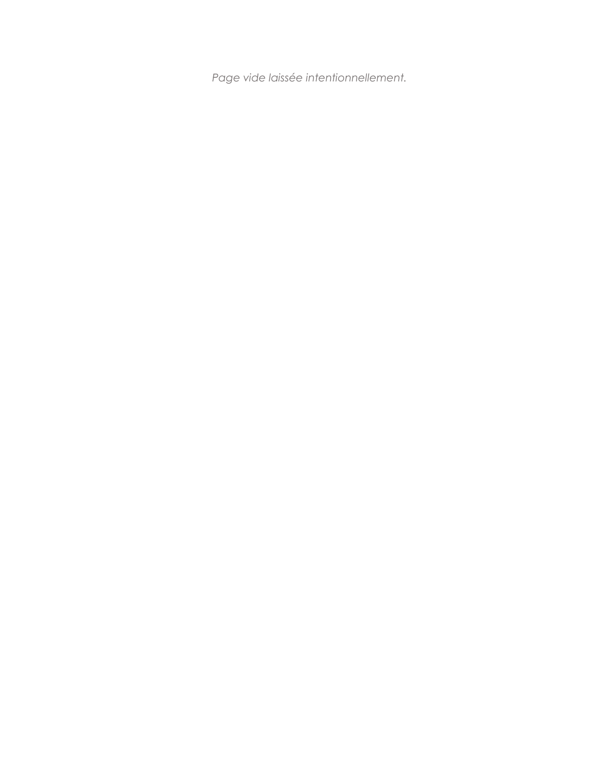*Page vide laissée intentionnellement.*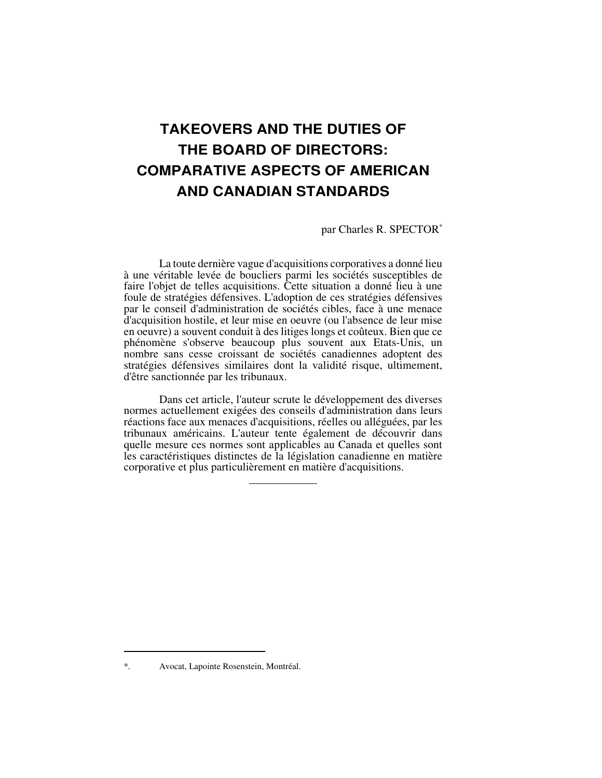### **TAKEOVERS AND THE DUTIES OF THE BOARD OF DIRECTORS: COMPARATIVE ASPECTS OF AMERICAN AND CANADIAN STANDARDS**

par Charles R. SPECTOR\*

La toute dernière vague d'acquisitions corporatives a donné lieu à une véritable levée de boucliers parmi les sociétés susceptibles de faire l'objet de telles acquisitions. Cette situation a donné lieu à une foule de stratégies défensives. L'adoption de ces stratégies défensives par le conseil d'administration de sociétés cibles, face à une menace d'acquisition hostile, et leur mise en oeuvre (ou l'absence de leur mise en oeuvre) a souvent conduit à des litiges longs et coûteux. Bien que ce phénomène s'observe beaucoup plus souvent aux Etats-Unis, un nombre sans cesse croissant de sociétés canadiennes adoptent des stratégies défensives similaires dont la validité risque, ultimement, d'être sanctionnée par les tribunaux.

Dans cet article, l'auteur scrute le développement des diverses normes actuellement exigées des conseils d'administration dans leurs réactions face aux menaces d'acquisitions, réelles ou alléguées, par les tribunaux américains. L'auteur tente également de découvrir dans quelle mesure ces normes sont applicables au Canada et quelles sont les caractéristiques distinctes de la législation canadienne en matière corporative et plus particulièrement en matière d'acquisitions.

 $\overline{a}$ 

<sup>\*.</sup> Avocat, Lapointe Rosenstein, Montréal.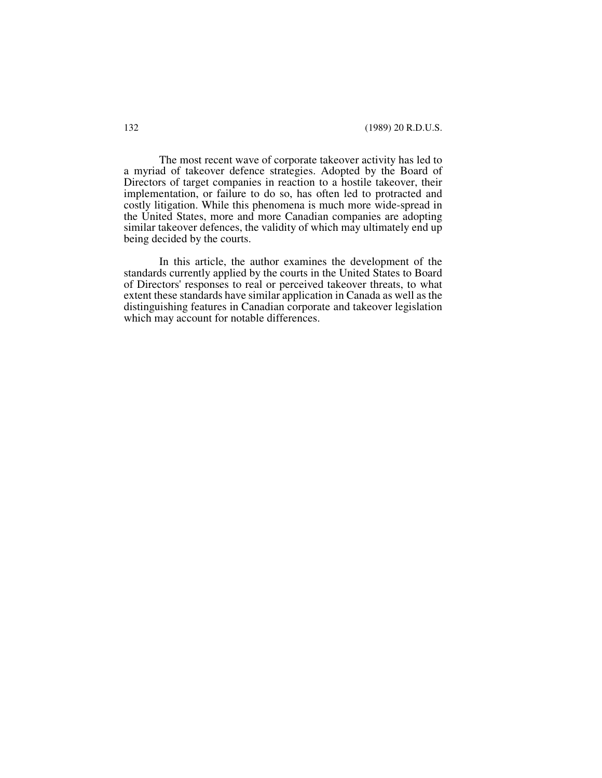The most recent wave of corporate takeover activity has led to a myriad of takeover defence strategies. Adopted by the Board of Directors of target companies in reaction to a hostile takeover, their implementation, or failure to do so, has often led to protracted and costly litigation. While this phenomena is much more wide-spread in the United States, more and more Canadian companies are adopting similar takeover defences, the validity of which may ultimately end up being decided by the courts.

In this article, the author examines the development of the standards currently applied by the courts in the United States to Board of Directors' responses to real or perceived takeover threats, to what extent these standards have similar application in Canada as well as the distinguishing features in Canadian corporate and takeover legislation which may account for notable differences.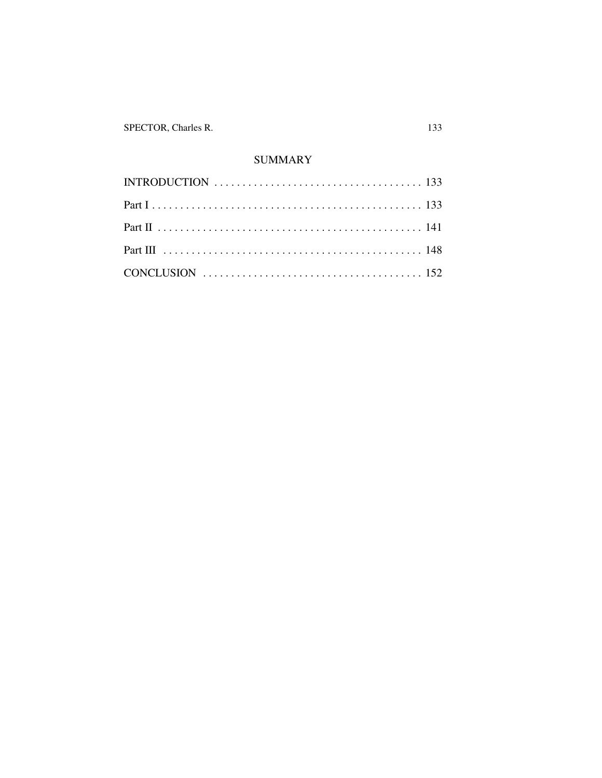SPECTOR, Charles R.

#### **SUMMARY**

| INTRODUCTION $\ldots \ldots \ldots \ldots \ldots \ldots \ldots \ldots \ldots \ldots \ldots \ldots \ldots$ |  |
|-----------------------------------------------------------------------------------------------------------|--|
|                                                                                                           |  |
|                                                                                                           |  |
|                                                                                                           |  |
|                                                                                                           |  |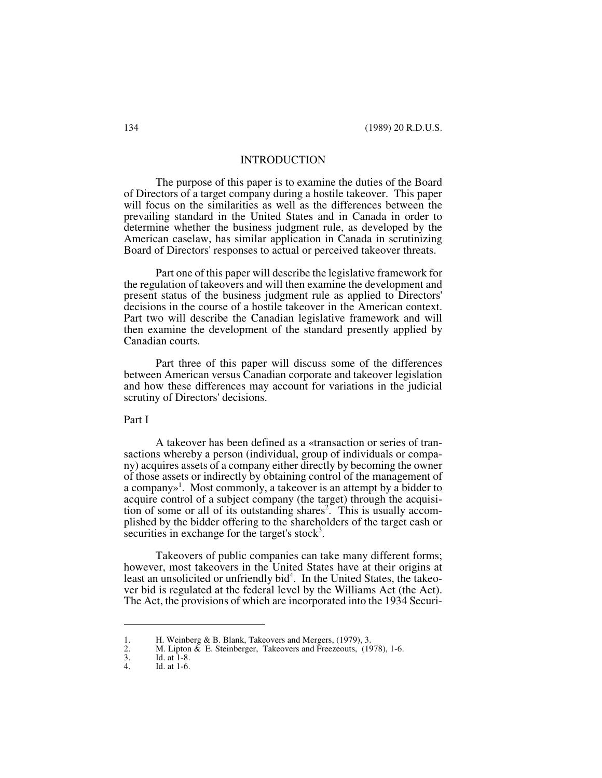#### INTRODUCTION

The purpose of this paper is to examine the duties of the Board of Directors of a target company during a hostile takeover. This paper will focus on the similarities as well as the differences between the prevailing standard in the United States and in Canada in order to determine whether the business judgment rule, as developed by the American caselaw, has similar application in Canada in scrutinizing Board of Directors' responses to actual or perceived takeover threats.

Part one of this paper will describe the legislative framework for the regulation of takeovers and will then examine the development and present status of the business judgment rule as applied to Directors' decisions in the course of a hostile takeover in the American context. Part two will describe the Canadian legislative framework and will then examine the development of the standard presently applied by Canadian courts.

Part three of this paper will discuss some of the differences between American versus Canadian corporate and takeover legislation and how these differences may account for variations in the judicial scrutiny of Directors' decisions.

#### Part I

A takeover has been defined as a «transaction or series of transactions whereby a person (individual, group of individuals or company) acquires assets of a company either directly by becoming the owner of those assets or indirectly by obtaining control of the management of a company»<sup>1</sup>. Most commonly, a takeover is an attempt by a bidder to acquire control of a subject company (the target) through the acquisition of some or all of its outstanding shares<sup>2</sup>. This is usually accomplished by the bidder offering to the shareholders of the target cash or securities in exchange for the target's stock<sup>3</sup>.

Takeovers of public companies can take many different forms; however, most takeovers in the United States have at their origins at least an unsolicited or unfriendly bid<sup>4</sup>. In the United States, the takeover bid is regulated at the federal level by the Williams Act (the Act). The Act, the provisions of which are incorporated into the 1934 Securi-

<sup>1.</sup> H. Weinberg & B. Blank, Takeovers and Mergers, (1979), 3.<br>2. M. Lipton & E. Steinberger, Takeovers and Freezeouts, (19<br>3. Id. at 1-8.

M. Lipton  $\&$  E. Steinberger, Takeovers and Freezeouts, (1978), 1-6.

<sup>3.</sup> Id. at 1-8.<br>4. Id. at 1-6.

Id. at 1-6.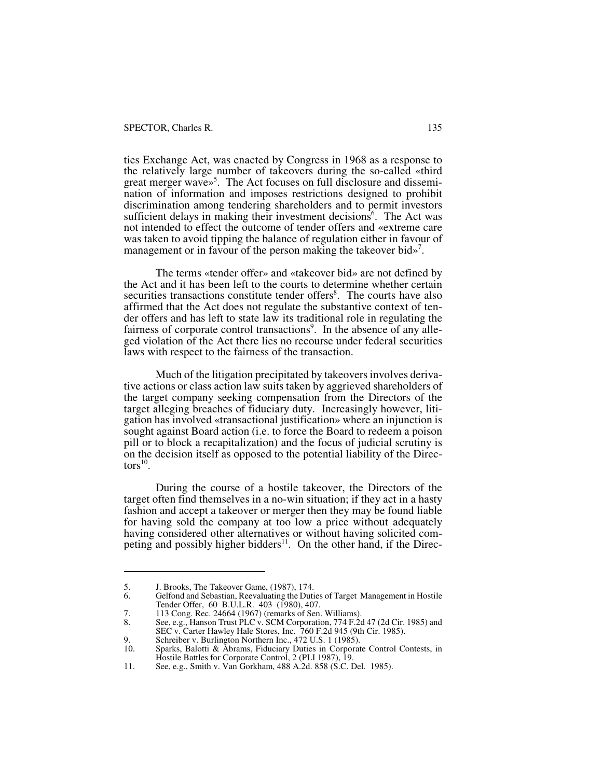ties Exchange Act, was enacted by Congress in 1968 as a response to the relatively large number of takeovers during the so-called «third great merger wave»<sup>5</sup>. The Act focuses on full disclosure and dissemination of information and imposes restrictions designed to prohibit discrimination among tendering shareholders and to permit investors sufficient delays in making their investment decisions<sup>6</sup>. The Act was not intended to effect the outcome of tender offers and «extreme care was taken to avoid tipping the balance of regulation either in favour of management or in favour of the person making the takeover bid»<sup>7</sup>.

The terms «tender offer» and «takeover bid» are not defined by the Act and it has been left to the courts to determine whether certain securities transactions constitute tender offers<sup>8</sup>. The courts have also affirmed that the Act does not regulate the substantive context of tender offers and has left to state law its traditional role in regulating the fairness of corporate control transactions<sup>9</sup>. In the absence of any alleged violation of the Act there lies no recourse under federal securities laws with respect to the fairness of the transaction.

Much of the litigation precipitated by takeovers involves derivative actions or class action law suits taken by aggrieved shareholders of the target company seeking compensation from the Directors of the target alleging breaches of fiduciary duty. Increasingly however, litigation has involved «transactional justification» where an injunction is sought against Board action (i.e. to force the Board to redeem a poison pill or to block a recapitalization) and the focus of judicial scrutiny is on the decision itself as opposed to the potential liability of the Directors $^{10}$ .

During the course of a hostile takeover, the Directors of the target often find themselves in a no-win situation; if they act in a hasty fashion and accept a takeover or merger then they may be found liable for having sold the company at too low a price without adequately having considered other alternatives or without having solicited competing and possibly higher bidders<sup>11</sup>. On the other hand, if the Direc-

<sup>5.</sup> J. Brooks, The Takeover Game, (1987), 174.<br>6. Gelfond and Sebastian, Reevaluating the Duti

<sup>6.</sup> Gelfond and Sebastian, Reevaluating the Duties of Target Management in Hostile Tender Offer, 60 B.U.L.R. 403 (1980), 407.

<sup>7. 113</sup> Cong. Rec. 24664 (1967) (remarks of Sen. Williams).<br>8. See, e.g., Hanson Trust PLC v. SCM Corporation, 774 F.20

See, e.g., Hanson Trust PLC v. SCM Corporation, 774 F.2d 47 (2d Cir. 1985) and SEC v. Carter Hawley Hale Stores, Inc. 760 F.2d 945 (9th Cir. 1985).

<sup>9.</sup> Schreiber v. Burlington Northern Inc., 472 U.S. 1 (1985).<br>10. Sparks, Balotti & Abrams, Fiduciary Duties in Corporat

Sparks, Balotti & Abrams, Fiduciary Duties in Corporate Control Contests, in Hostile Battles for Corporate Control, 2 (PLI 1987), 19.

<sup>11.</sup> See, e.g., Smith v. Van Gorkham, 488 A.2d. 858 (S.C. Del. 1985).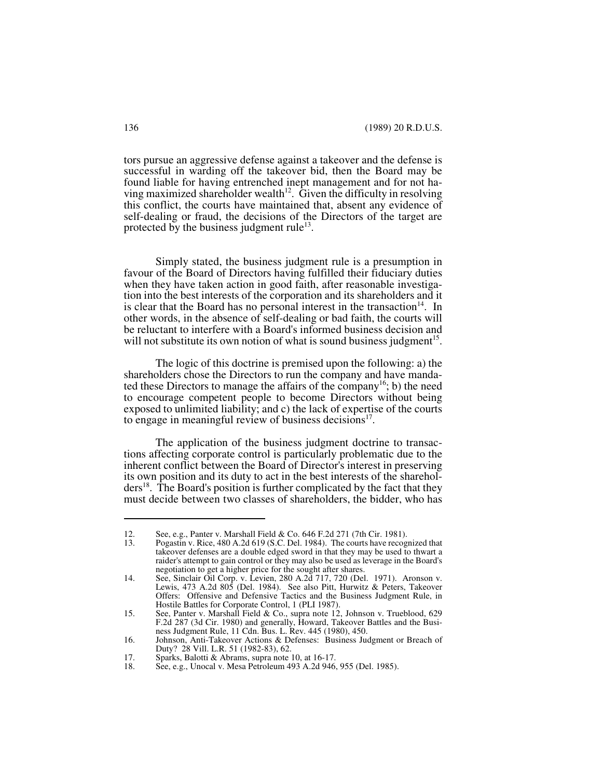tors pursue an aggressive defense against a takeover and the defense is successful in warding off the takeover bid, then the Board may be found liable for having entrenched inept management and for not having maximized shareholder wealth<sup>12</sup>. Given the difficulty in resolving this conflict, the courts have maintained that, absent any evidence of self-dealing or fraud, the decisions of the Directors of the target are protected by the business judgment rule $^{13}$ .

Simply stated, the business judgment rule is a presumption in favour of the Board of Directors having fulfilled their fiduciary duties when they have taken action in good faith, after reasonable investigation into the best interests of the corporation and its shareholders and it is clear that the Board has no personal interest in the transaction<sup>14</sup>. In other words, in the absence of self-dealing or bad faith, the courts will be reluctant to interfere with a Board's informed business decision and will not substitute its own notion of what is sound business judgment<sup>15</sup>.

The logic of this doctrine is premised upon the following: a) the shareholders chose the Directors to run the company and have mandated these Directors to manage the affairs of the company<sup>16</sup>; b) the need to encourage competent people to become Directors without being exposed to unlimited liability; and c) the lack of expertise of the courts to engage in meaningful review of business decisions<sup>17</sup>.

The application of the business judgment doctrine to transactions affecting corporate control is particularly problematic due to the inherent conflict between the Board of Director's interest in preserving its own position and its duty to act in the best interests of the shareholders<sup>18</sup>. The Board's position is further complicated by the fact that they must decide between two classes of shareholders, the bidder, who has

<sup>12.</sup> See, e.g., Panter v. Marshall Field & Co. 646 F.2d 271 (7th Cir. 1981).<br>13. Pogastin v. Rice. 480 A.2d 619 (S.C. Del. 1984). The courts have recog

Pogastin v. Rice, 480 A.2d 619 (S.C. Del. 1984). The courts have recognized that takeover defenses are a double edged sword in that they may be used to thwart a raider's attempt to gain control or they may also be used as leverage in the Board's negotiation to get a higher price for the sought after shares.

<sup>14.</sup> See, Sinclair Oil Corp. v. Levien, 280 A.2d 717, 720 (Del. 1971). Aronson v. Lewis, 473 A.2d 805 (Del. 1984). See also Pitt, Hurwitz & Peters, Takeover Offers: Offensive and Defensive Tactics and the Business Judgment Rule, in Hostile Battles for Corporate Control, 1 (PLI 1987).

<sup>15.</sup> See, Panter v. Marshall Field & Co., supra note 12, Johnson v. Trueblood, 629 F.2d 287 (3d Cir. 1980) and generally, Howard, Takeover Battles and the Business Judgment Rule, 11 Cdn. Bus. L. Rev. 445 (1980), 450.

<sup>16.</sup> Johnson, Anti-Takeover Actions & Defenses: Business Judgment or Breach of Duty? 28 Vill. L.R. 51 (1982-83), 62.

<sup>17.</sup> Sparks, Balotti & Abrams, supra note 10, at 16-17.<br>18. See, e.g., Unocal v. Mesa Petroleum 493 A.2d 946

See, e.g., Unocal v. Mesa Petroleum 493 A.2d 946, 955 (Del. 1985).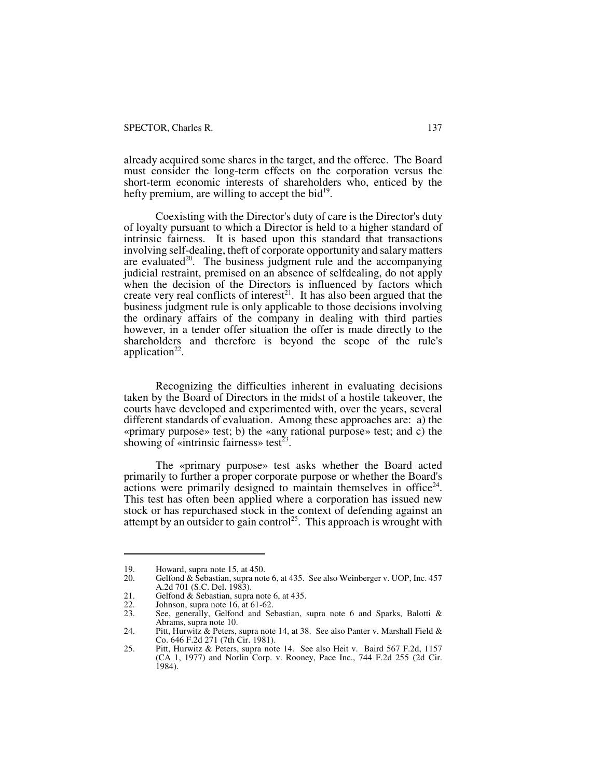already acquired some shares in the target, and the offeree. The Board must consider the long-term effects on the corporation versus the short-term economic interests of shareholders who, enticed by the hefty premium, are willing to accept the bid $19$ .

Coexisting with the Director's duty of care is the Director's duty of loyalty pursuant to which a Director is held to a higher standard of intrinsic fairness. It is based upon this standard that transactions involving self-dealing, theft of corporate opportunity and salary matters are evaluated $20$ . The business judgment rule and the accompanying judicial restraint, premised on an absence of selfdealing, do not apply when the decision of the Directors is influenced by factors which create very real conflicts of interest<sup>21</sup>. It has also been argued that the business judgment rule is only applicable to those decisions involving the ordinary affairs of the company in dealing with third parties however, in a tender offer situation the offer is made directly to the shareholders and therefore is beyond the scope of the rule's application $22$ .

Recognizing the difficulties inherent in evaluating decisions taken by the Board of Directors in the midst of a hostile takeover, the courts have developed and experimented with, over the years, several different standards of evaluation. Among these approaches are: a) the «primary purpose» test; b) the «any rational purpose» test; and c) the showing of «intrinsic fairness» test<sup>23</sup>.

The «primary purpose» test asks whether the Board acted primarily to further a proper corporate purpose or whether the Board's  $\alpha$  actions were primarily designed to maintain themselves in office<sup>24</sup>. This test has often been applied where a corporation has issued new stock or has repurchased stock in the context of defending against an attempt by an outsider to gain control<sup>25</sup>. This approach is wrought with

<sup>19.</sup> Howard, supra note 15, at 450.<br>20. Gelfond & Sebastian, supra not

Gelfond & Sebastian, supra note 6, at 435. See also Weinberger v. UOP, Inc. 457 A.2d 701 (S.C. Del. 1983).

<sup>21.</sup> Gelfond & Sebastian, supra note 6, at 435.<br>22. Johnson, supra note 16, at 61-62.

<sup>22.</sup> Johnson, supra note 16, at 61-62.<br>23. See, generally, Gelfond and Se

See, generally, Gelfond and Sebastian, supra note 6 and Sparks, Balotti & Abrams, supra note 10.

<sup>24.</sup> Pitt, Hurwitz & Peters, supra note 14, at 38. See also Panter v. Marshall Field & Co. 646 F.2d 271 (7th Cir. 1981).

<sup>25.</sup> Pitt, Hurwitz & Peters, supra note 14. See also Heit v. Baird 567 F.2d, 1157 (CA 1, 1977) and Norlin Corp. v. Rooney, Pace Inc., 744 F.2d 255 (2d Cir. 1984).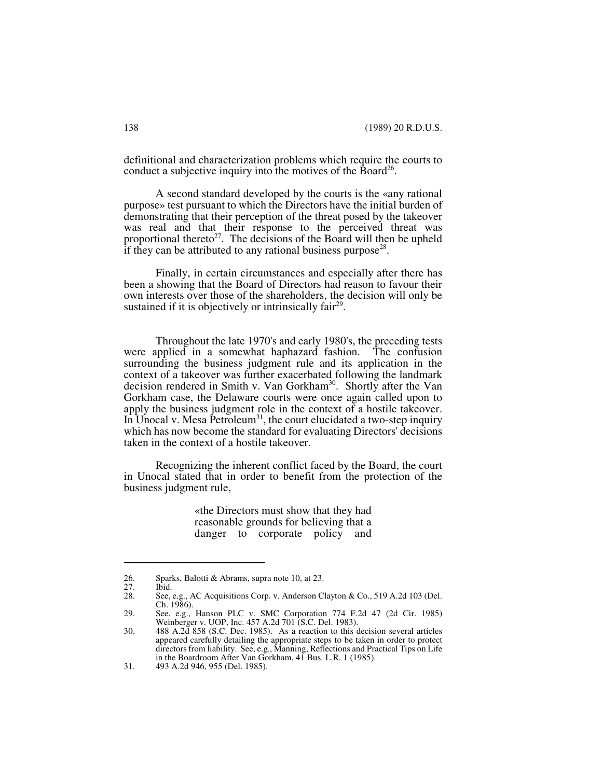definitional and characterization problems which require the courts to conduct a subjective inquiry into the motives of the Board<sup>26</sup>.

A second standard developed by the courts is the «any rational purpose» test pursuant to which the Directors have the initial burden of demonstrating that their perception of the threat posed by the takeover was real and that their response to the perceived threat was proportional thereto<sup>27</sup>. The decisions of the Board will then be upheld if they can be attributed to any rational business purpose<sup>28</sup>.

Finally, in certain circumstances and especially after there has been a showing that the Board of Directors had reason to favour their own interests over those of the shareholders, the decision will only be sustained if it is objectively or intrinsically fair<sup>29</sup>.

Throughout the late 1970's and early 1980's, the preceding tests were applied in a somewhat haphazard fashion. The confusion surrounding the business judgment rule and its application in the context of a takeover was further exacerbated following the landmark decision rendered in Smith v. Van Gorkham<sup>30</sup>. Shortly after the Van Gorkham case, the Delaware courts were once again called upon to apply the business judgment role in the context of a hostile takeover. In Unocal v. Mesa Petroleum<sup>31</sup>, the court elucidated a two-step inquiry which has now become the standard for evaluating Directors' decisions taken in the context of a hostile takeover.

Recognizing the inherent conflict faced by the Board, the court in Unocal stated that in order to benefit from the protection of the business judgment rule,

> «the Directors must show that they had reasonable grounds for believing that a danger to corporate policy and

<sup>26.</sup> Sparks, Balotti & Abrams, supra note 10, at 23.

<sup>27.</sup> Ibid.<br>28. See, See, e.g., AC Acquisitions Corp. v. Anderson Clayton & Co., 519 A.2d 103 (Del.) Ch. 1986).

<sup>29.</sup> See, e.g., Hanson PLC v. SMC Corporation 774 F.2d 47 (2d Cir. 1985) Weinberger v. UOP, Inc. 457 A.2d 701 (S.C. Del. 1983).

<sup>30. 488</sup> A.2d 858 (S.C. Dec. 1985). As a reaction to this decision several articles appeared carefully detailing the appropriate steps to be taken in order to protect directors from liability. See, e.g., Manning, Reflections and Practical Tips on Life in the Boardroom After Van Gorkham, 41 Bus. L.R. 1 (1985).

<sup>31. 493</sup> A.2d 946, 955 (Del. 1985).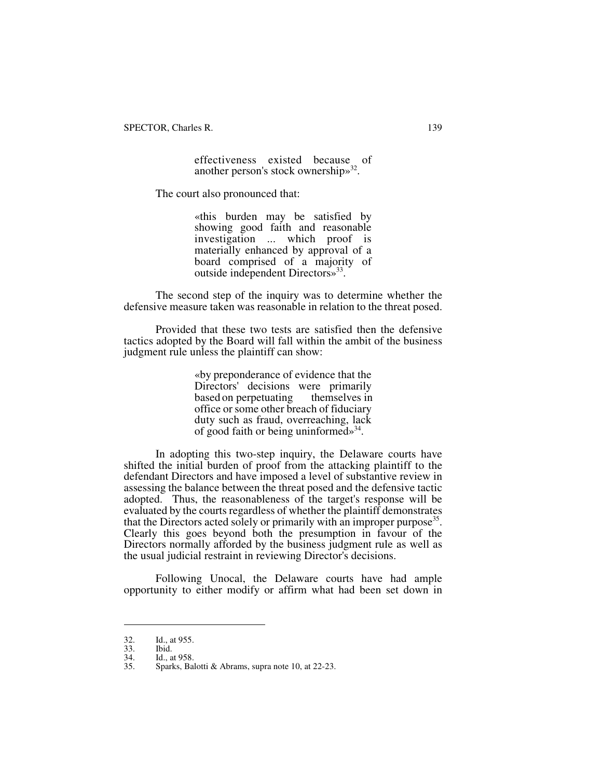SPECTOR, Charles R. 139

effectiveness existed because of another person's stock ownership»<sup>32</sup>.

The court also pronounced that:

«this burden may be satisfied by showing good faith and reasonable investigation ... which proof is materially enhanced by approval of a board comprised of a majority of outside independent Directors»<sup>33</sup>.

The second step of the inquiry was to determine whether the defensive measure taken was reasonable in relation to the threat posed.

Provided that these two tests are satisfied then the defensive tactics adopted by the Board will fall within the ambit of the business judgment rule unless the plaintiff can show:

> «by preponderance of evidence that the Directors' decisions were primarily<br>based on perpetuating themselves in based on perpetuating office or some other breach of fiduciary duty such as fraud, overreaching, lack of good faith or being uninformed»<sup>34</sup>.

In adopting this two-step inquiry, the Delaware courts have shifted the initial burden of proof from the attacking plaintiff to the defendant Directors and have imposed a level of substantive review in assessing the balance between the threat posed and the defensive tactic adopted. Thus, the reasonableness of the target's response will be evaluated by the courts regardless of whether the plaintiff demonstrates that the Directors acted solely or primarily with an improper purpose<sup>35</sup>. Clearly this goes beyond both the presumption in favour of the Directors normally afforded by the business judgment rule as well as the usual judicial restraint in reviewing Director's decisions.

Following Unocal, the Delaware courts have had ample opportunity to either modify or affirm what had been set down in

<sup>32.</sup> Id., at 955.

<sup>33.</sup> Ibid.<br>34. Id., a

<sup>34.</sup> Id., at 958.<br>35. Sparks, Bal

Sparks, Balotti & Abrams, supra note 10, at 22-23.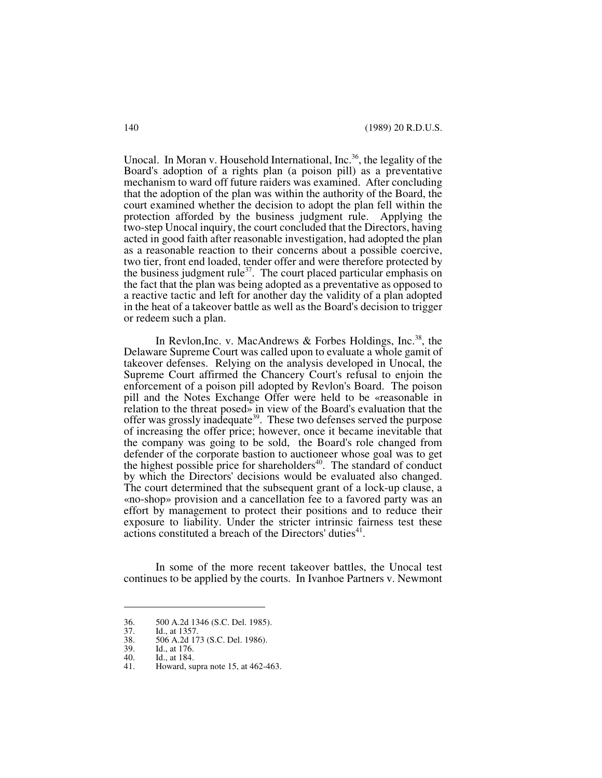Unocal. In Moran v. Household International, Inc.<sup>36</sup>, the legality of the Board's adoption of a rights plan (a poison pill) as a preventative mechanism to ward off future raiders was examined. After concluding that the adoption of the plan was within the authority of the Board, the court examined whether the decision to adopt the plan fell within the protection afforded by the business judgment rule. Applying the two-step Unocal inquiry, the court concluded that the Directors, having acted in good faith after reasonable investigation, had adopted the plan as a reasonable reaction to their concerns about a possible coercive, two tier, front end loaded, tender offer and were therefore protected by the business judgment rule<sup>37</sup>. The court placed particular emphasis on the fact that the plan was being adopted as a preventative as opposed to a reactive tactic and left for another day the validity of a plan adopted in the heat of a takeover battle as well as the Board's decision to trigger or redeem such a plan.

In Revlon, Inc. v. MacAndrews & Forbes Holdings, Inc.<sup>38</sup>, the Delaware Supreme Court was called upon to evaluate a whole gamit of takeover defenses. Relying on the analysis developed in Unocal, the Supreme Court affirmed the Chancery Court's refusal to enjoin the enforcement of a poison pill adopted by Revlon's Board. The poison pill and the Notes Exchange Offer were held to be «reasonable in relation to the threat posed» in view of the Board's evaluation that the offer was grossly inadequate<sup>39</sup>. These two defenses served the purpose of increasing the offer price; however, once it became inevitable that the company was going to be sold, the Board's role changed from defender of the corporate bastion to auctioneer whose goal was to get the highest possible price for shareholders $40$ . The standard of conduct by which the Directors' decisions would be evaluated also changed. The court determined that the subsequent grant of a lock-up clause, a «no-shop» provision and a cancellation fee to a favored party was an effort by management to protect their positions and to reduce their exposure to liability. Under the stricter intrinsic fairness test these actions constituted a breach of the Directors' duties<sup>41</sup>.

In some of the more recent takeover battles, the Unocal test continues to be applied by the courts. In Ivanhoe Partners v. Newmont

<sup>36. 500</sup> A.2d 1346 (S.C. Del. 1985).<br>37. Id., at 1357.

<sup>37.</sup> Id., at 1357.<br>38. 506 A.2d 17

<sup>38. 506</sup> A.2d 173 (S.C. Del. 1986).<br>39. Id., at 176.

<sup>39.</sup> Id., at 176.<br>40. Id., at 184.

<sup>40.</sup> Id., at 184.<br>41. Howard, su

<sup>41.</sup> Howard, supra note 15, at 462-463.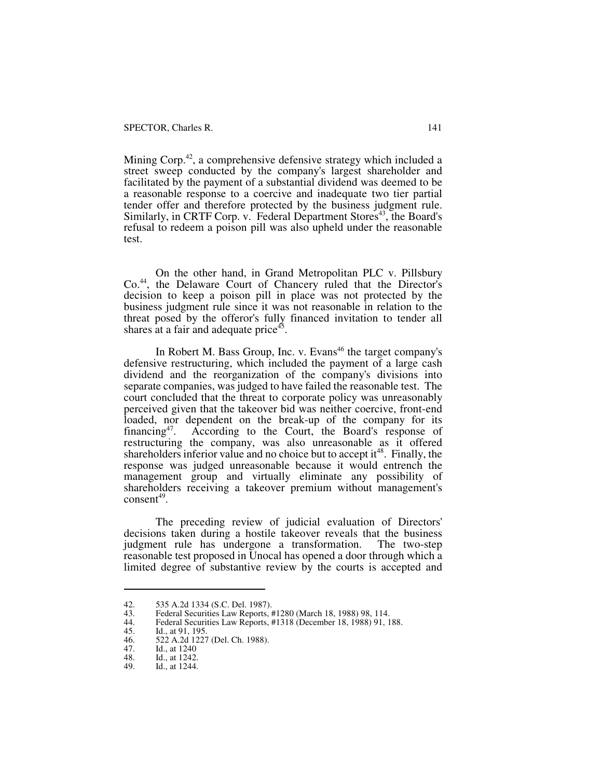Mining Corp.<sup>42</sup>, a comprehensive defensive strategy which included a street sweep conducted by the company's largest shareholder and facilitated by the payment of a substantial dividend was deemed to be a reasonable response to a coercive and inadequate two tier partial tender offer and therefore protected by the business judgment rule. Similarly, in CRTF Corp. v. Federal Department Stores<sup>43</sup>, the Board's refusal to redeem a poison pill was also upheld under the reasonable test.

On the other hand, in Grand Metropolitan PLC v. Pillsbury Co.<sup>44</sup>, the Delaware Court of Chancery ruled that the Director's decision to keep a poison pill in place was not protected by the business judgment rule since it was not reasonable in relation to the threat posed by the offeror's fully financed invitation to tender all shares at a fair and adequate price<sup>45</sup>.

In Robert M. Bass Group, Inc. v. Evans<sup>46</sup> the target company's defensive restructuring, which included the payment of a large cash dividend and the reorganization of the company's divisions into separate companies, was judged to have failed the reasonable test. The court concluded that the threat to corporate policy was unreasonably perceived given that the takeover bid was neither coercive, front-end loaded, nor dependent on the break-up of the company for its financing<sup>47</sup>. According to the Court, the Board's response of According to the Court, the Board's response of restructuring the company, was also unreasonable as it offered shareholders inferior value and no choice but to accept it<sup>48</sup>. Finally, the response was judged unreasonable because it would entrench the management group and virtually eliminate any possibility of shareholders receiving a takeover premium without management's  $\text{consent}^{49}$ .

The preceding review of judicial evaluation of Directors' decisions taken during a hostile takeover reveals that the business judgment rule has undergone a transformation. The two-step judgment rule has undergone a transformation. reasonable test proposed in Unocal has opened a door through which a limited degree of substantive review by the courts is accepted and

<sup>42. 535</sup> A.2d 1334 (S.C. Del. 1987).<br>43. Federal Securities Law Reports, #

<sup>43.</sup> Federal Securities Law Reports, #1280 (March 18, 1988) 98, 114.<br>44. Federal Securities Law Reports, #1318 (December 18, 1988) 91, 1

<sup>44.</sup> Federal Securities Law Reports, #1318 (December 18, 1988) 91, 188.

<sup>45.</sup> Id., at 91, 195.<br>46. 522 A.2d 1227

<sup>46. 522</sup> A.2d 1227 (Del. Ch. 1988).<br>47. Id., at 1240

<sup>47.</sup> Id., at 1240<br>48. Id., at 1242.

<sup>48.</sup> Id., at 1242.<br>49. Id., at 1244.

Id., at 1244.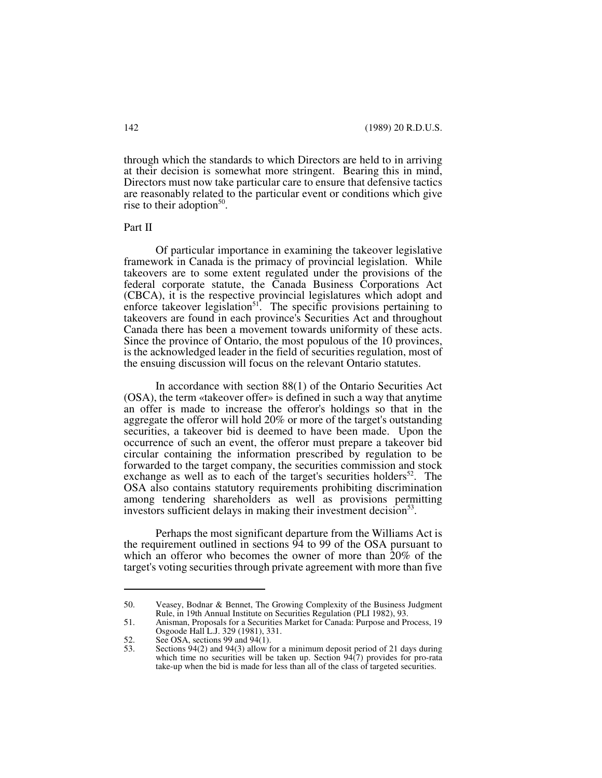through which the standards to which Directors are held to in arriving at their decision is somewhat more stringent. Bearing this in mind, Directors must now take particular care to ensure that defensive tactics are reasonably related to the particular event or conditions which give rise to their adoption<sup>50</sup>.

Part II

Of particular importance in examining the takeover legislative framework in Canada is the primacy of provincial legislation. While takeovers are to some extent regulated under the provisions of the federal corporate statute, the Canada Business Corporations Act (CBCA), it is the respective provincial legislatures which adopt and enforce takeover legislation<sup>51</sup>. The specific provisions pertaining to takeovers are found in each province's Securities Act and throughout Canada there has been a movement towards uniformity of these acts. Since the province of Ontario, the most populous of the 10 provinces, is the acknowledged leader in the field of securities regulation, most of the ensuing discussion will focus on the relevant Ontario statutes.

In accordance with section 88(1) of the Ontario Securities Act (OSA), the term «takeover offer» is defined in such a way that anytime an offer is made to increase the offeror's holdings so that in the aggregate the offeror will hold 20% or more of the target's outstanding securities, a takeover bid is deemed to have been made. Upon the occurrence of such an event, the offeror must prepare a takeover bid circular containing the information prescribed by regulation to be forwarded to the target company, the securities commission and stock exchange as well as to each of the target's securities holders<sup>52</sup>. The OSA also contains statutory requirements prohibiting discrimination among tendering shareholders as well as provisions permitting investors sufficient delays in making their investment decision<sup>53</sup>.

Perhaps the most significant departure from the Williams Act is the requirement outlined in sections 94 to 99 of the OSA pursuant to which an offeror who becomes the owner of more than  $20\%$  of the target's voting securities through private agreement with more than five

<sup>50.</sup> Veasey, Bodnar & Bennet, The Growing Complexity of the Business Judgment Rule, in 19th Annual Institute on Securities Regulation (PLI 1982), 93.

<sup>51.</sup> Anisman, Proposals for a Securities Market for Canada: Purpose and Process, 19 Osgoode Hall L.J. 329 (1981), 331.

<sup>52.</sup> See OSA, sections 99 and 94(1).<br>53. Sections 94(2) and 94(3) allow for

Sections 94(2) and 94(3) allow for a minimum deposit period of 21 days during which time no securities will be taken up. Section  $94(7)$  provides for pro-rata take-up when the bid is made for less than all of the class of targeted securities.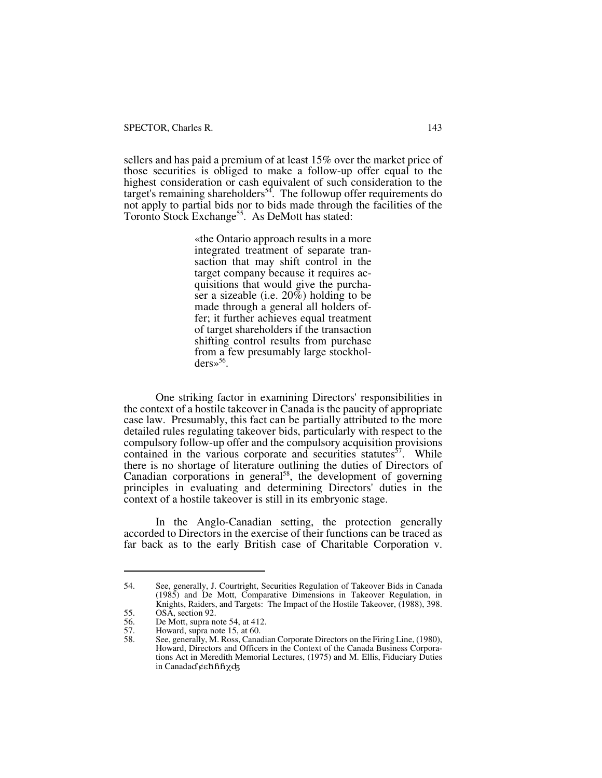sellers and has paid a premium of at least 15% over the market price of those securities is obliged to make a follow-up offer equal to the highest consideration or cash equivalent of such consideration to the target's remaining shareholders<sup>54</sup>. The followup offer requirements do not apply to partial bids nor to bids made through the facilities of the Toronto Stock Exchange<sup>55</sup>. As DeMott has stated:

> «the Ontario approach results in a more integrated treatment of separate transaction that may shift control in the target company because it requires acquisitions that would give the purchaser a sizeable (i.e.  $20\bar{\%}$ ) holding to be made through a general all holders offer; it further achieves equal treatment of target shareholders if the transaction shifting control results from purchase from a few presumably large stockhol $ders \times 56$ .

One striking factor in examining Directors' responsibilities in the context of a hostile takeover in Canada is the paucity of appropriate case law. Presumably, this fact can be partially attributed to the more detailed rules regulating takeover bids, particularly with respect to the compulsory follow-up offer and the compulsory acquisition provisions contained in the various corporate and securities statutes $57$ . While there is no shortage of literature outlining the duties of Directors of Canadian corporations in general<sup>58</sup>, the development of governing principles in evaluating and determining Directors' duties in the context of a hostile takeover is still in its embryonic stage.

In the Anglo-Canadian setting, the protection generally accorded to Directors in the exercise of their functions can be traced as far back as to the early British case of Charitable Corporation v.

<sup>54.</sup> See, generally, J. Courtright, Securities Regulation of Takeover Bids in Canada (1985) and De Mott, Comparative Dimensions in Takeover Regulation, in Knights, Raiders, and Targets: The Impact of the Hostile Takeover, (1988), 398.

<sup>55.</sup> OSA, section 92.<br>56. De Mott, supra no

<sup>56.</sup> De Mott, supra note 54, at 412.<br>57. Howard, supra note 15, at 60.

<sup>57.</sup> Howard, supra note 15, at 60.<br>58. See, generally, M. Ross, Canad 58. See, generally, M. Ross, Canadian Corporate Directors on the Firing Line, (1980), Howard, Directors and Officers in the Context of the Canada Business Corporations Act in Meredith Memorial Lectures, (1975) and M. Ellis, Fiduciary Duties in Canada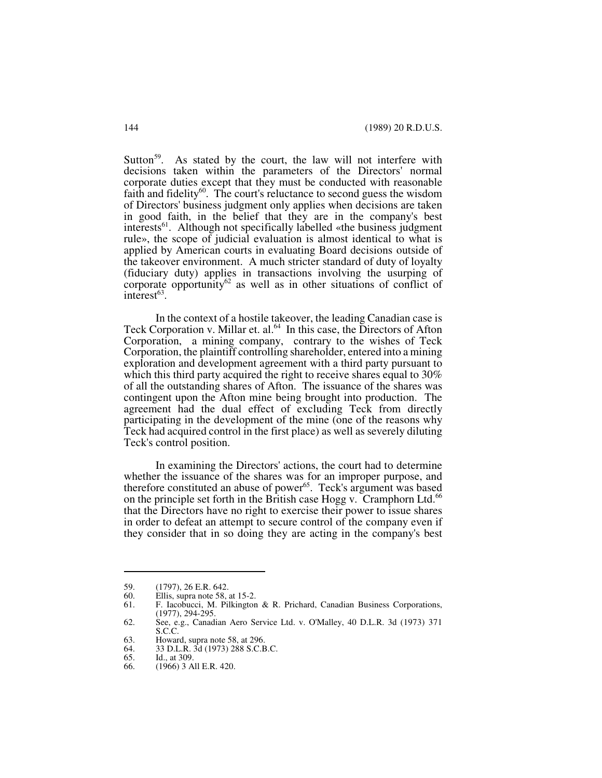Sutton<sup>59</sup>. As stated by the court, the law will not interfere with decisions taken within the parameters of the Directors' normal corporate duties except that they must be conducted with reasonable faith and fidelity $60$ . The court's reluctance to second guess the wisdom of Directors' business judgment only applies when decisions are taken in good faith, in the belief that they are in the company's best interests<sup>61</sup>. Although not specifically labelled «the business judgment rule», the scope of judicial evaluation is almost identical to what is applied by American courts in evaluating Board decisions outside of the takeover environment. A much stricter standard of duty of loyalty (fiduciary duty) applies in transactions involving the usurping of corporate opportunity<sup>62</sup> as well as in other situations of conflict of  $interest<sup>63</sup>$ .

In the context of a hostile takeover, the leading Canadian case is Teck Corporation v. Millar et. al.<sup>64</sup> In this case, the Directors of Afton Corporation, a mining company, contrary to the wishes of Teck Corporation, the plaintiff controlling shareholder, entered into a mining exploration and development agreement with a third party pursuant to which this third party acquired the right to receive shares equal to 30% of all the outstanding shares of Afton. The issuance of the shares was contingent upon the Afton mine being brought into production. The agreement had the dual effect of excluding Teck from directly participating in the development of the mine (one of the reasons why Teck had acquired control in the first place) as well as severely diluting Teck's control position.

In examining the Directors' actions, the court had to determine whether the issuance of the shares was for an improper purpose, and therefore constituted an abuse of power<sup>65</sup>. Teck's argument was based on the principle set forth in the British case Hogg v. Cramphorn Ltd.<sup>66</sup> that the Directors have no right to exercise their power to issue shares in order to defeat an attempt to secure control of the company even if they consider that in so doing they are acting in the company's best

<sup>59. (1797), 26</sup> E.R. 642.<br>60. Ellis, supra note 58,

<sup>60.</sup> Ellis, supra note 58, at 15-2.<br>61. E. Jacobucci, M. Pilkington

<sup>61.</sup> F. Iacobucci, M. Pilkington & R. Prichard, Canadian Business Corporations, (1977), 294-295.

<sup>62.</sup> See, e.g., Canadian Aero Service Ltd. v. O'Malley, 40 D.L.R. 3d (1973) 371 S.C.C.

<sup>63.</sup> Howard, supra note 58, at 296.<br>64. 33 D.L.R. 3d (1973) 288 S.C.B

<sup>64. 33</sup> D.L.R. 3d (1973) 288 S.C.B.C.<br>65. Id., at 309.

<sup>65.</sup> Id., at 309.<br>66. (1966) 3 A

<sup>66. (1966) 3</sup> All E.R. 420.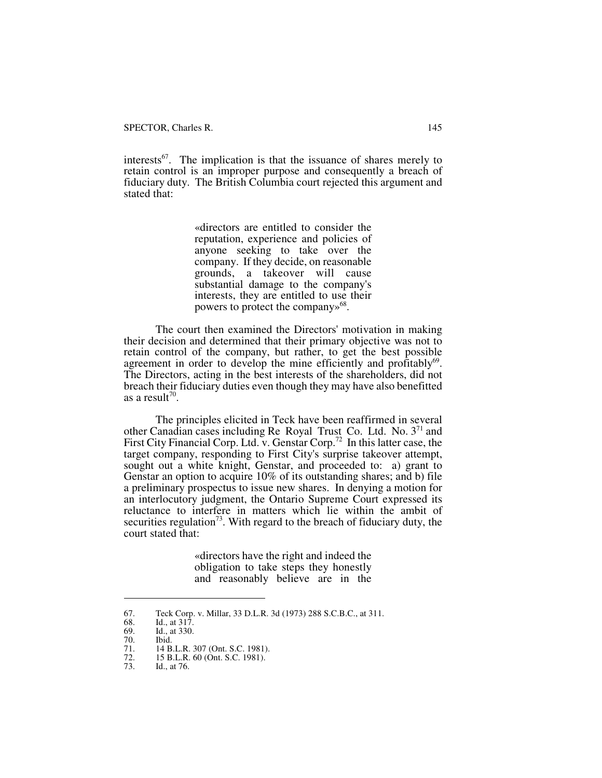interests $^{67}$ . The implication is that the issuance of shares merely to retain control is an improper purpose and consequently a breach of fiduciary duty. The British Columbia court rejected this argument and stated that:

> «directors are entitled to consider the reputation, experience and policies of anyone seeking to take over the company. If they decide, on reasonable grounds, a takeover will cause substantial damage to the company's interests, they are entitled to use their powers to protect the company»<sup>68</sup>.

The court then examined the Directors' motivation in making their decision and determined that their primary objective was not to retain control of the company, but rather, to get the best possible agreement in order to develop the mine efficiently and profitably<sup>69</sup>. The Directors, acting in the best interests of the shareholders, did not breach their fiduciary duties even though they may have also benefitted as a result<sup>70</sup>.

The principles elicited in Teck have been reaffirmed in several other Canadian cases including Re Royal Trust Co. Ltd. No. 3<sup>71</sup> and First City Financial Corp. Ltd. v. Genstar Corp.<sup>72</sup> In this latter case, the target company, responding to First City's surprise takeover attempt, sought out a white knight, Genstar, and proceeded to: a) grant to Genstar an option to acquire 10% of its outstanding shares; and b) file a preliminary prospectus to issue new shares. In denying a motion for an interlocutory judgment, the Ontario Supreme Court expressed its reluctance to interfere in matters which lie within the ambit of securities regulation<sup>73</sup>. With regard to the breach of fiduciary duty, the court stated that:

> «directors have the right and indeed the obligation to take steps they honestly and reasonably believe are in the

<sup>67.</sup> Teck Corp. v. Millar, 33 D.L.R. 3d (1973) 288 S.C.B.C., at 311.

<sup>68.</sup> Id., at 317.

<sup>69.</sup> Id., at 330.

<sup>70.</sup> Ibid.<br>71. 14 B

<sup>71. 14</sup> B.L.R. 307 (Ont. S.C. 1981).<br>72. 15 B.L.R. 60 (Ont. S.C. 1981). 72. 15 B.L.R. 60 (Ont. S.C. 1981).<br>73. Id., at 76.

<sup>73.</sup> Id., at 76.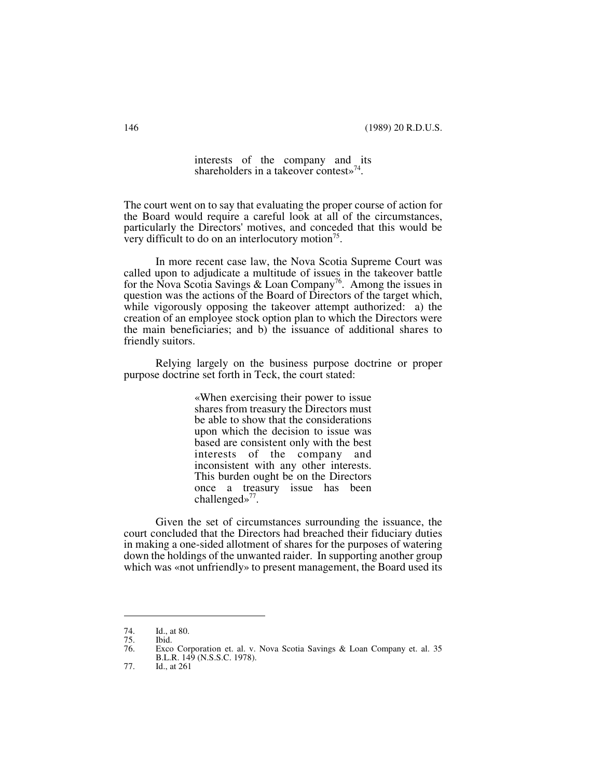interests of the company and its shareholders in a takeover contest»<sup>74</sup>.

The court went on to say that evaluating the proper course of action for the Board would require a careful look at all of the circumstances, particularly the Directors' motives, and conceded that this would be very difficult to do on an interlocutory motion $<sup>75</sup>$ .</sup>

In more recent case law, the Nova Scotia Supreme Court was called upon to adjudicate a multitude of issues in the takeover battle for the Nova Scotia Savings & Loan Company<sup>76</sup>. Among the issues in question was the actions of the Board of Directors of the target which, while vigorously opposing the takeover attempt authorized: a) the creation of an employee stock option plan to which the Directors were the main beneficiaries; and b) the issuance of additional shares to friendly suitors.

Relying largely on the business purpose doctrine or proper purpose doctrine set forth in Teck, the court stated:

> «When exercising their power to issue shares from treasury the Directors must be able to show that the considerations upon which the decision to issue was based are consistent only with the best interests of the company and inconsistent with any other interests. This burden ought be on the Directors once a treasury issue has been challenged»<sup>77</sup>.

Given the set of circumstances surrounding the issuance, the court concluded that the Directors had breached their fiduciary duties in making a one-sided allotment of shares for the purposes of watering down the holdings of the unwanted raider. In supporting another group which was «not unfriendly» to present management, the Board used its

<sup>74.</sup> Id., at 80.

<sup>75.</sup> Ibid.

Exco Corporation et. al. v. Nova Scotia Savings & Loan Company et. al. 35 B.L.R. 149 (N.S.S.C. 1978).

<sup>77.</sup> Id., at 261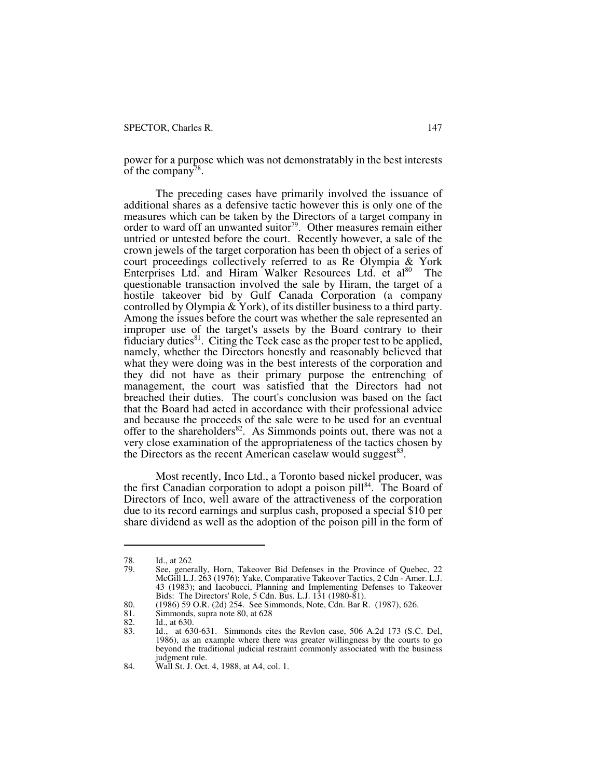power for a purpose which was not demonstratably in the best interests of the company<sup>78</sup>.

The preceding cases have primarily involved the issuance of additional shares as a defensive tactic however this is only one of the measures which can be taken by the Directors of a target company in order to ward off an unwanted suitor<sup>79</sup>. Other measures remain either untried or untested before the court. Recently however, a sale of the crown jewels of the target corporation has been th object of a series of court proceedings collectively referred to as Re Olympia & York Enterprises Ltd. and Hiram Walker Resources Ltd. et al<sup>80</sup> The questionable transaction involved the sale by Hiram, the target of a hostile takeover bid by Gulf Canada Corporation (a company controlled by Olympia & York), of its distiller business to a third party. Among the issues before the court was whether the sale represented an improper use of the target's assets by the Board contrary to their fiduciary duties<sup>81</sup>. Citing the Teck case as the proper test to be applied, namely, whether the Directors honestly and reasonably believed that what they were doing was in the best interests of the corporation and they did not have as their primary purpose the entrenching of management, the court was satisfied that the Directors had not breached their duties. The court's conclusion was based on the fact that the Board had acted in accordance with their professional advice and because the proceeds of the sale were to be used for an eventual offer to the shareholders<sup>82</sup>. As Simmonds points out, there was not a very close examination of the appropriateness of the tactics chosen by the Directors as the recent American caselaw would suggest<sup>83</sup>.

Most recently, Inco Ltd., a Toronto based nickel producer, was the first Canadian corporation to adopt a poison pill<sup>84</sup>. The Board of Directors of Inco, well aware of the attractiveness of the corporation due to its record earnings and surplus cash, proposed a special \$10 per share dividend as well as the adoption of the poison pill in the form of

<sup>78.</sup> Id., at 262<br>79. See, general

See, generally, Horn, Takeover Bid Defenses in the Province of Quebec, 22 McGill L.J. 263 (1976); Yake, Comparative Takeover Tactics, 2 Cdn - Amer. L.J. 43 (1983); and Iacobucci, Planning and Implementing Defenses to Takeover Bids: The Directors' Role, 5 Cdn. Bus. L.J. 131 (1980-81).

<sup>80. (1986) 59</sup> O.R. (2d) 254. See Simmonds, Note, Cdn. Bar R. (1987), 626.

<sup>81.</sup> Simmonds, supra note 80, at 628<br>82. Id., at 630.

<sup>82.</sup> Id., at 630.<br>83. Id., at 63

<sup>83.</sup> Id., at 630-631. Simmonds cites the Revlon case, 506 A.2d 173 (S.C. Del, 1986), as an example where there was greater willingness by the courts to go beyond the traditional judicial restraint commonly associated with the business judgment rule.

<sup>84.</sup> Wall St. J. Oct. 4, 1988, at A4, col. 1.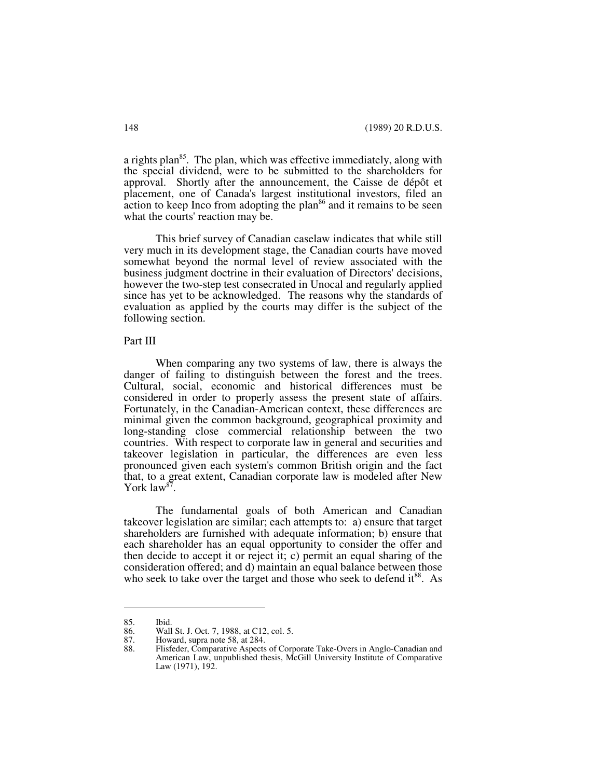a rights plan $85$ . The plan, which was effective immediately, along with the special dividend, were to be submitted to the shareholders for approval. Shortly after the announcement, the Caisse de dépôt et placement, one of Canada's largest institutional investors, filed an  $\alpha$  action to keep Inco from adopting the plan<sup>86</sup> and it remains to be seen what the courts' reaction may be.

This brief survey of Canadian caselaw indicates that while still very much in its development stage, the Canadian courts have moved somewhat beyond the normal level of review associated with the business judgment doctrine in their evaluation of Directors' decisions, however the two-step test consecrated in Unocal and regularly applied since has yet to be acknowledged. The reasons why the standards of evaluation as applied by the courts may differ is the subject of the following section.

#### Part III

When comparing any two systems of law, there is always the danger of failing to distinguish between the forest and the trees. Cultural, social, economic and historical differences must be considered in order to properly assess the present state of affairs. Fortunately, in the Canadian-American context, these differences are minimal given the common background, geographical proximity and long-standing close commercial relationship between the two countries. With respect to corporate law in general and securities and takeover legislation in particular, the differences are even less pronounced given each system's common British origin and the fact that, to a great extent, Canadian corporate law is modeled after New York law<sup>87</sup>.

The fundamental goals of both American and Canadian takeover legislation are similar; each attempts to: a) ensure that target shareholders are furnished with adequate information; b) ensure that each shareholder has an equal opportunity to consider the offer and then decide to accept it or reject it; c) permit an equal sharing of the consideration offered; and d) maintain an equal balance between those who seek to take over the target and those who seek to defend it<sup>88</sup>. As

<sup>85.</sup> Ibid.<br>86. Wall

<sup>86.</sup> Wall St. J. Oct. 7, 1988, at C12, col. 5.<br>87. Howard, supra note 58, at 284.

<sup>87.</sup> Howard, supra note 58, at 284.<br>88. Flisfeder, Comparative Aspects

Flisfeder, Comparative Aspects of Corporate Take-Overs in Anglo-Canadian and American Law, unpublished thesis, McGill University Institute of Comparative Law (1971), 192.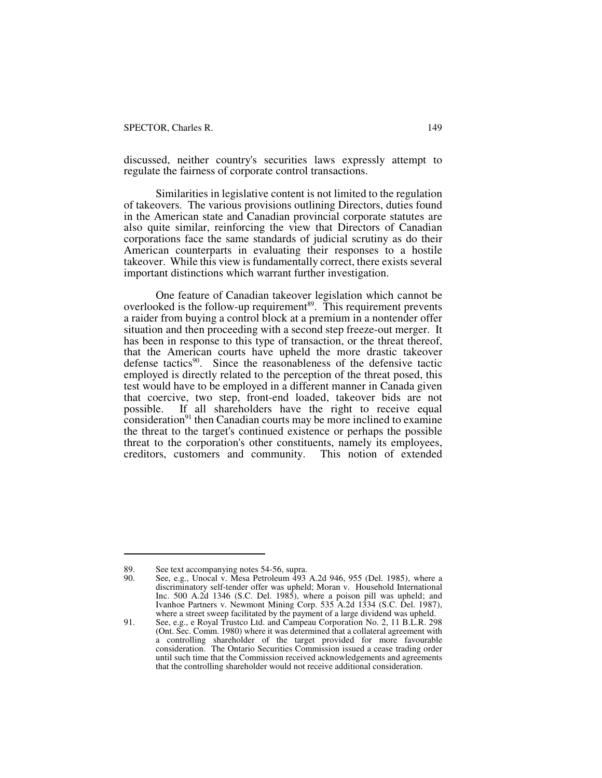discussed, neither country's securities laws expressly attempt to regulate the fairness of corporate control transactions.

Similarities in legislative content is not limited to the regulation of takeovers. The various provisions outlining Directors, duties found in the American state and Canadian provincial corporate statutes are also quite similar, reinforcing the view that Directors of Canadian corporations face the same standards of judicial scrutiny as do their American counterparts in evaluating their responses to a hostile takeover. While this view is fundamentally correct, there exists several important distinctions which warrant further investigation.

One feature of Canadian takeover legislation which cannot be overlooked is the follow-up requirement<sup>89</sup>. This requirement prevents a raider from buying a control block at a premium in a nontender offer situation and then proceeding with a second step freeze-out merger. It has been in response to this type of transaction, or the threat thereof, that the American courts have upheld the more drastic takeover defense tactics<sup>90</sup>. Since the reasonableness of the defensive tactic employed is directly related to the perception of the threat posed, this test would have to be employed in a different manner in Canada given that coercive, two step, front-end loaded, takeover bids are not possible. If all shareholders have the right to receive equal  $\frac{1}{2}$  consideration<sup>91</sup> then Canadian courts may be more inclined to examine the threat to the target's continued existence or perhaps the possible threat to the corporation's other constituents, namely its employees, creditors, customers and community. This notion of extended

<sup>89.</sup> See text accompanying notes 54-56, supra.<br>90. See, e.g., Unocal v. Mesa Petroleum 493

See, e.g., Unocal v. Mesa Petroleum 493 A.2d 946, 955 (Del. 1985), where a discriminatory self-tender offer was upheld; Moran v. Household International Inc. 500 A.2d 1346 (S.C. Del. 1985), where a poison pill was upheld; and Ivanhoe Partners v. Newmont Mining Corp. 535 A.2d 1334 (S.C. Del. 1987), where a street sweep facilitated by the payment of a large dividend was upheld.

<sup>91.</sup> See, e.g., e Royal Trustco Ltd. and Campeau Corporation No. 2, 11 B.L.R. 298 (Ont. Sec. Comm. 1980) where it was determined that a collateral agreement with a controlling shareholder of the target provided for more favourable consideration. The Ontario Securities Commission issued a cease trading order until such time that the Commission received acknowledgements and agreements that the controlling shareholder would not receive additional consideration.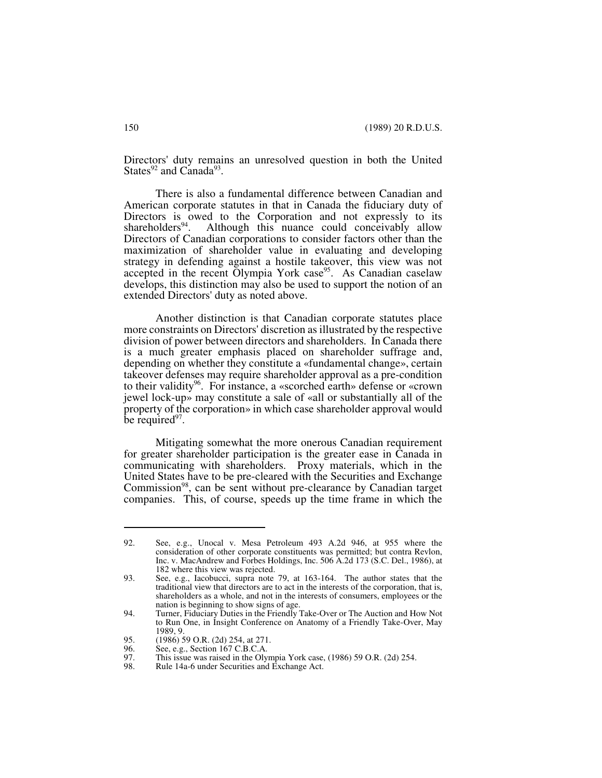Directors' duty remains an unresolved question in both the United States $92$  and Canada<sup>93</sup>.

There is also a fundamental difference between Canadian and American corporate statutes in that in Canada the fiduciary duty of Directors is owed to the Corporation and not expressly to its shareholders<sup>94</sup>. Although this nuance could conceivably allow Although this nuance could conceivably allow Directors of Canadian corporations to consider factors other than the maximization of shareholder value in evaluating and developing strategy in defending against a hostile takeover, this view was not accepted in the recent Olympia York case<sup>95</sup>. As Canadian caselaw develops, this distinction may also be used to support the notion of an extended Directors' duty as noted above.

Another distinction is that Canadian corporate statutes place more constraints on Directors' discretion as illustrated by the respective division of power between directors and shareholders. In Canada there is a much greater emphasis placed on shareholder suffrage and, depending on whether they constitute a «fundamental change», certain takeover defenses may require shareholder approval as a pre-condition to their validity<sup>96</sup>. For instance, a «scorched earth» defense or «crown jewel lock-up» may constitute a sale of «all or substantially all of the property of the corporation» in which case shareholder approval would be required<sup>97</sup>.

Mitigating somewhat the more onerous Canadian requirement for greater shareholder participation is the greater ease in Canada in communicating with shareholders. Proxy materials, which in the United States have to be pre-cleared with the Securities and Exchange Commission<sup>98</sup>, can be sent without pre-clearance by Canadian target companies. This, of course, speeds up the time frame in which the

<sup>92.</sup> See, e.g., Unocal v. Mesa Petroleum 493 A.2d 946, at 955 where the consideration of other corporate constituents was permitted; but contra Revlon, Inc. v. MacAndrew and Forbes Holdings, Inc. 506 A.2d 173 (S.C. Del., 1986), at 182 where this view was rejected.

<sup>93.</sup> See, e.g., Iacobucci, supra note 79, at 163-164. The author states that the traditional view that directors are to act in the interests of the corporation, that is, shareholders as a whole, and not in the interests of consumers, employees or the nation is beginning to show signs of age.

<sup>94.</sup> Turner, Fiduciary Duties in the Friendly Take-Over or The Auction and How Not to Run One, in Insight Conference on Anatomy of a Friendly Take-Over, May 1989, 9.

<sup>95. (1986) 59</sup> O.R. (2d) 254, at 271.<br>96. See, e.g., Section 167 C.B.C.A.

<sup>96.</sup> See, e.g., Section 167 C.B.C.A.<br>97. This issue was raised in the Olyi 97. This issue was raised in the Olympia York case, (1986) 59 O.R. (2d) 254.<br>98. Rule 14a-6 under Securities and Exchange Act.

Rule 14a-6 under Securities and Exchange Act.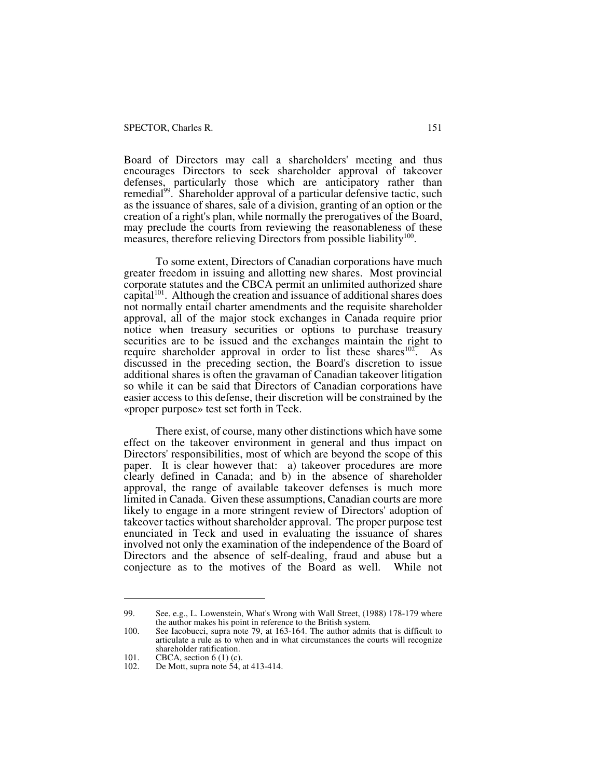#### SPECTOR, Charles R. 151

Board of Directors may call a shareholders' meeting and thus encourages Directors to seek shareholder approval of takeover defenses, particularly those which are anticipatory rather than remedial<sup>99</sup>. Shareholder approval of a particular defensive tactic, such as the issuance of shares, sale of a division, granting of an option or the creation of a right's plan, while normally the prerogatives of the Board, may preclude the courts from reviewing the reasonableness of these measures, therefore relieving Directors from possible liability<sup>100</sup>.

To some extent, Directors of Canadian corporations have much greater freedom in issuing and allotting new shares. Most provincial corporate statutes and the CBCA permit an unlimited authorized share capital<sup>101</sup>. Although the creation and issuance of additional shares does not normally entail charter amendments and the requisite shareholder approval, all of the major stock exchanges in Canada require prior notice when treasury securities or options to purchase treasury securities are to be issued and the exchanges maintain the right to require shareholder approval in order to list these shares<sup>102</sup>. As discussed in the preceding section, the Board's discretion to issue additional shares is often the gravaman of Canadian takeover litigation so while it can be said that Directors of Canadian corporations have easier access to this defense, their discretion will be constrained by the «proper purpose» test set forth in Teck.

There exist, of course, many other distinctions which have some effect on the takeover environment in general and thus impact on Directors' responsibilities, most of which are beyond the scope of this paper. It is clear however that: a) takeover procedures are more clearly defined in Canada; and b) in the absence of shareholder approval, the range of available takeover defenses is much more limited in Canada. Given these assumptions, Canadian courts are more likely to engage in a more stringent review of Directors' adoption of takeover tactics without shareholder approval. The proper purpose test enunciated in Teck and used in evaluating the issuance of shares involved not only the examination of the independence of the Board of Directors and the absence of self-dealing, fraud and abuse but a conjecture as to the motives of the Board as well. While not

<sup>99.</sup> See, e.g., L. Lowenstein, What's Wrong with Wall Street, (1988) 178-179 where the author makes his point in reference to the British system.

<sup>100.</sup> See Iacobucci, supra note 79, at 163-164. The author admits that is difficult to articulate a rule as to when and in what circumstances the courts will recognize shareholder ratification.

<sup>101.</sup> **CBCA**, section 6 (1) (c).<br>102. De Mott, supra note 54,

De Mott, supra note 54, at 413-414.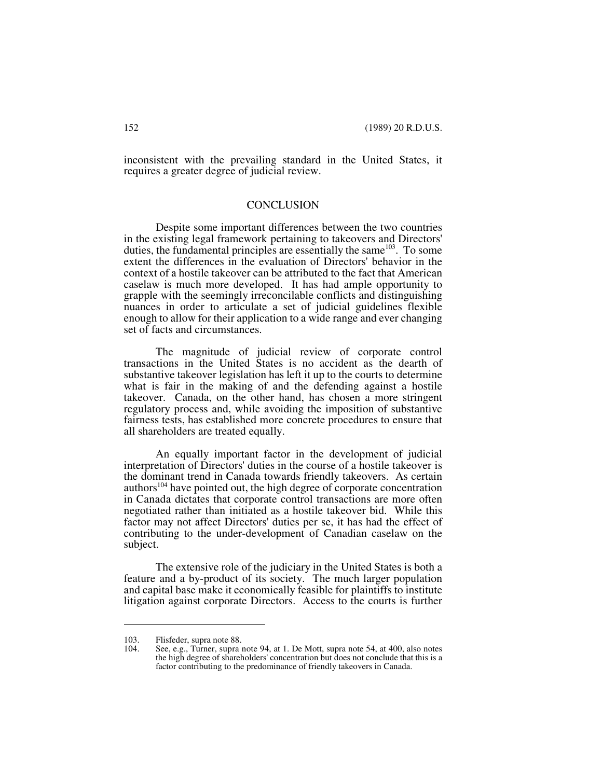inconsistent with the prevailing standard in the United States, it requires a greater degree of judicial review.

#### **CONCLUSION**

Despite some important differences between the two countries in the existing legal framework pertaining to takeovers and Directors' duties, the fundamental principles are essentially the same  $103$ . To some extent the differences in the evaluation of Directors' behavior in the context of a hostile takeover can be attributed to the fact that American caselaw is much more developed. It has had ample opportunity to grapple with the seemingly irreconcilable conflicts and distinguishing nuances in order to articulate a set of judicial guidelines flexible enough to allow for their application to a wide range and ever changing set of facts and circumstances.

The magnitude of judicial review of corporate control transactions in the United States is no accident as the dearth of substantive takeover legislation has left it up to the courts to determine what is fair in the making of and the defending against a hostile takeover. Canada, on the other hand, has chosen a more stringent regulatory process and, while avoiding the imposition of substantive fairness tests, has established more concrete procedures to ensure that all shareholders are treated equally.

An equally important factor in the development of judicial interpretation of Directors' duties in the course of a hostile takeover is the dominant trend in Canada towards friendly takeovers. As certain authors<sup>104</sup> have pointed out, the high degree of corporate concentration in Canada dictates that corporate control transactions are more often negotiated rather than initiated as a hostile takeover bid. While this factor may not affect Directors' duties per se, it has had the effect of contributing to the under-development of Canadian caselaw on the subject.

The extensive role of the judiciary in the United States is both a feature and a by-product of its society. The much larger population and capital base make it economically feasible for plaintiffs to institute litigation against corporate Directors. Access to the courts is further

<sup>103.</sup> Flisfeder, supra note 88.<br>104. See, e.g., Turner, supra i

See, e.g., Turner, supra note 94, at 1. De Mott, supra note 54, at 400, also notes the high degree of shareholders' concentration but does not conclude that this is a factor contributing to the predominance of friendly takeovers in Canada.